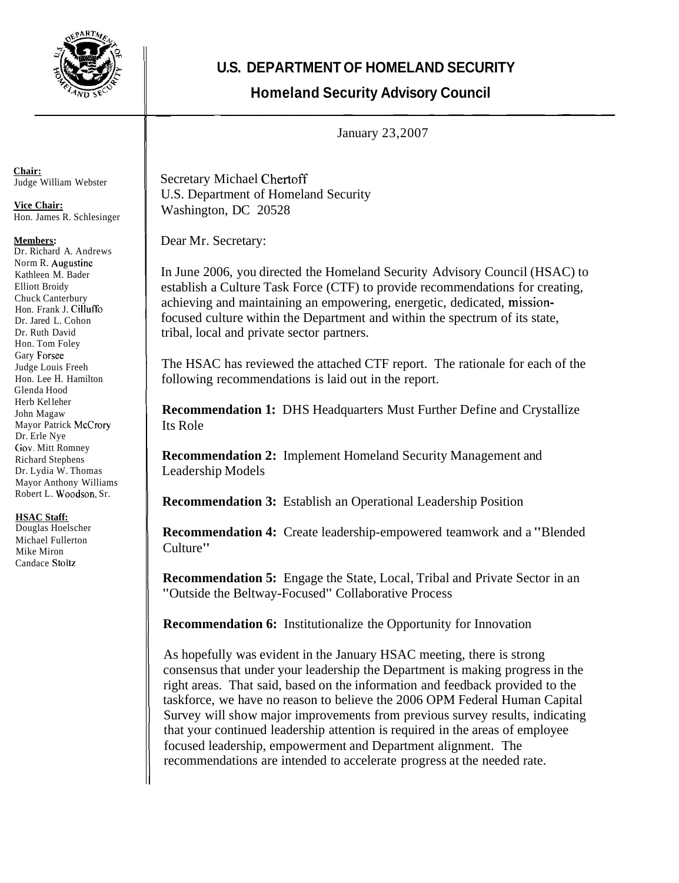

**U.S. DEPARTMENT OF HOMELAND SECURITY** 

## **Homeland Security Advisory Council**  U.S. DEFANTINENT<br>Homeland Sec

January 23,2007

Secretary Michael Chertoff U.S. Department of Homeland Security Washington, DC 20528

Dear Mr. Secretary:

In June 2006, you directed the Homeland Security Advisory Council (HSAC) to establish a Culture Task Force (CTF) to provide recommendations for creating, achieving and maintaining an empowering, energetic, dedicated, missionfocused culture within the Department and within the spectrum of its state, tribal, local and private sector partners.

The HSAC has reviewed the attached CTF report. The rationale for each of the following recommendations is laid out in the report.

**Recommendation 1:** DHS Headquarters Must Further Define and Crystallize Its Role

**Recommendation 2:** Implement Homeland Security Management and Leadership Models

**Recommendation 3:** Establish an Operational Leadership Position

**Recommendation 4:** Create leadership-empowered teamwork and a "Blended Culture"

**Recommendation 5:** Engage the State, Local, Tribal and Private Sector in an "Outside the Beltway-Focused" Collaborative Process

**Recommendation 6:** Institutionalize the Opportunity for Innovation

As hopefully was evident in the January HSAC meeting, there is strong consensus that under your leadership the Department is making progress in the right areas. That said, based on the information and feedback provided to the taskforce, we have no reason to believe the 2006 OPM Federal Human Capital Survey will show major improvements from previous survey results, indicating that your continued leadership attention is required in the areas of employee focused leadership, empowerment and Department alignment. The recommendations are intended to accelerate progress at the needed rate.

**Chair:**  Judge William Webster

**Vice Chair:**  Hon. James R. Schlesinger

## **Members:**

Dr. Richard A. Andrews Norm R. Augustine Kathleen M. Bader Elliott Broidy Chuck Canterbury Hon. Frank J. Cilluffo Dr. Jared L. Cohon Dr. Ruth David Hon. Tom Foley Gary Forsee Judge Louis Freeh Hon. Lee H. Hamilton Glenda Hood Herb Kel leher John Magaw Mayor Patrick McCrory Dr. Erle Nye (iov. Mitt Romney Richard Stephens Dr. Lydia W. Thomas Mayor Anthony Williams Robert L. Woodson. Sr.

## **HSAC Staff:**

Douglas Hoelscher Michael Fullerton Mike Miron Candace Stoltz